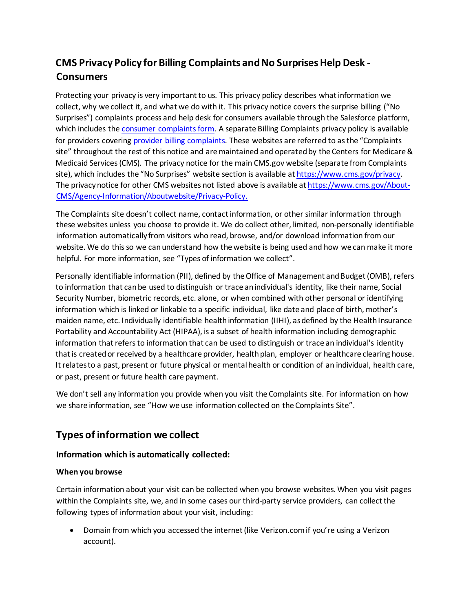# **CMS Privacy Policy for Billing Complaints and No Surprises Help Desk - Consumers**

Protecting your privacy is very important to us. This privacy policy describes what information we collect, why we collect it, and what we do with it. This privacy notice covers the surprise billing ("No Surprises") complaints process and help desk for consumers available through the Salesforce platform, which includes the [consumer complaints form.](https://nsa-idr.cms.gov/consumercomplaints) A separate Billing Complaints privacy policy is available for providers covering [provider billing complaints. T](https://www.cms.gov/nosurprises/privacy)hese websites are referred to as the "Complaints site" throughout the rest of this notice and are maintained and operated by the Centers for Medicare & Medicaid Services (CMS). The privacy notice for the main CMS.gov website (separate from Complaints site), which includes the "No Surprises" website section is available at [https://www.cms.gov/privacy.](https://www.cms.gov/privacy) The privacynotice for other CMS websites not listed above is available at https://www.cms.gov/About-CMS/Agency-Information/Aboutwebsite/Privacy-Policy.

The Complaints site doesn't collect name, contact information, or other similar information through these websites unless you choose to provide it. We do collect other, limited, non-personally identifiable information automatically from visitors who read, browse, and/or download information from our website. We do this so we can understand how the website is being used and how we can make it more helpful. For more information, see "Types of information we collect".

Personally identifiable information (PII), defined by the Office of Management and Budget (OMB), refers to information that can be used to distinguish or trace an individual's identity, like their name, Social Security Number, biometric records, etc. alone, or when combined with other personal or identifying information which is linked or linkable to a specific individual, like date and place of birth, mother's maiden name, etc. Individually identifiable health information (IIHI), as defined by the Health Insurance Portability and Accountability Act (HIPAA), is a subset of health information including demographic information that refers to information that can be used to distinguish or trace an individual's identity that is created or received by a healthcare provider, health plan, employer or healthcare clearing house. It relates to a past, present or future physical or mental health or condition of an individual, health care, or past, present or future health care payment.

We don't sell any information you provide when you visit the Complaints site. For information on how we share information, see "How we use information collected on the Complaints Site".

# **Types of information we collect**

# **Information which is automatically collected:**

# **When you browse**

Certain information about your visit can be collected when you browse websites. When you visit pages within the Complaints site, we, and in some cases our third-party service providers, can collect the following types of information about your visit, including:

• Domain from which you accessed the internet (like Verizon.com if you're using a Verizon account).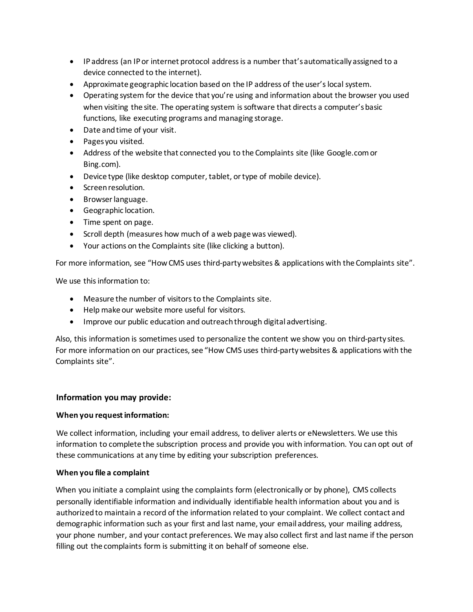- IPaddress (an IP or internet protocol address is a number that's automatically assigned to a device connected to the internet).
- Approximate geographic location based on the IP address of the user's local system.
- Operating system for the device that you're using and information about the browser you used when visiting the site. The operating system is software that directs a computer's basic functions, like executing programs and managing storage.
- Date and time of your visit.
- Pagesyou visited.
- Address of the website that connected you to the Complaints site (like Google.comor Bing.com).
- Device type (like desktop computer, tablet, or type of mobile device).
- Screenresolution.
- Browserlanguage.
- Geographic location.
- Time spent on page.
- Scroll depth (measures how much of a web page was viewed).
- Your actions on the Complaints site (like clicking a button).

For more information, see "HowCMS uses third-partywebsites & applications with the Complaints site".

We use this information to:

- Measure the number of visitors to the Complaints site.
- Help make our website more useful for visitors.
- Improve our public education and outreachthrough digital advertising.

Also, this information is sometimes used to personalize the content we show you on third-party sites. For more information on our practices, see "How CMS uses third-party websites & applications with the Complaints site".

# **Information you may provide:**

#### **When you requestinformation:**

We collect information, including your email address, to deliver alerts or eNewsletters. We use this information to complete the subscription process and provide you with information. You can opt out of these communications at any time by editing your subscription preferences.

#### **When you file a complaint**

When you initiate a complaint using the complaints form (electronically or by phone), CMS collects personally identifiable information and individually identifiable health information about you and is authorized to maintain a record of the information related to your complaint. We collect contact and demographic information such as your first and last name, your email address, your mailing address, your phone number, and your contact preferences. We may also collect first and last name if the person filling out the complaints form is submitting it on behalf of someone else.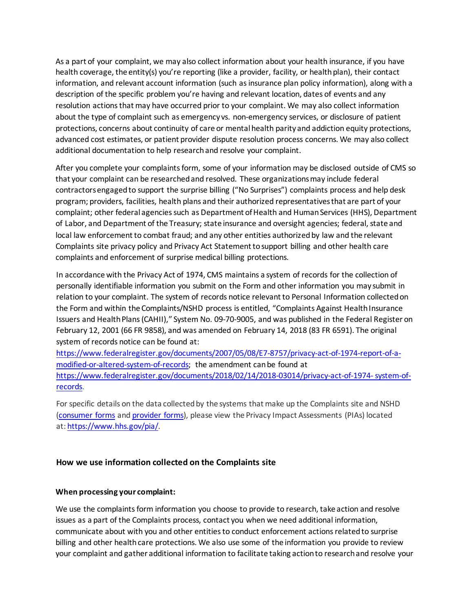As a part of your complaint, we may also collect information about your health insurance, if you have health coverage, the entity(s) you're reporting (like a provider, facility, or health plan), their contact information, and relevant account information (such as insurance plan policy information), along with a description of the specific problem you're having and relevant location, dates of events and any resolution actions that may have occurred prior to your complaint. We may also collect information about the type of complaint such as emergency vs. non-emergency services, or disclosure of patient protections, concerns about continuity of care or mentalhealth parityand addiction equity protections, advanced cost estimates, or patient provider dispute resolution process concerns. We may also collect additional documentation to help researchand resolve your complaint.

After you complete your complaints form, some of your information may be disclosed outside of CMS so that your complaint can be researched and resolved. These organizations may include federal contractors engaged to support the surprise billing ("No Surprises") complaints process and help desk program; providers, facilities, health plans and their authorized representatives that are part of your complaint; other federal agencies such as Department of Health and Human Services (HHS), Department of Labor, and Department of the Treasury; state insurance and oversight agencies; federal, state and local law enforcement to combat fraud; and any other entities authorized by law and the relevant Complaints site privacy policy and Privacy Act Statement to support billing and other health care complaints and enforcement of surprise medical billing protections.

In accordance with the Privacy Act of 1974, CMS maintains a system of records for the collection of personally identifiable information you submit on the Form and other information you may submit in relation to your complaint. The system of records notice relevant to Personal Information collected on the Form and within the Complaints/NSHD process is entitled, "Complaints Against Health Insurance Issuers and Health Plans (CAHII)," System No. 09-70-9005, and was published in the Federal Register on February 12, 2001 (66 FR 9858), and was amended on February 14, 2018 (83 FR 6591). The original system of records notice can be found at:

[https://www.federalregister.gov/documents/2007/05/08/E7-8757/privacy-act-of-1974-report-of-a](https://www.federalregister.gov/documents/2007/05/08/E7-8757/privacy-act-of-1974-report-of-a-modified-or-altered-system-of-records)[modified-or-altered-system-of-records;](https://www.federalregister.gov/documents/2007/05/08/E7-8757/privacy-act-of-1974-report-of-a-modified-or-altered-system-of-records) the amendment can be found at https:/[/www.federalregister.gov/documents/2018/02/14/2018-03014/privacy-act-of-1974-](http://www.federalregister.gov/documents/2018/02/14/2018-03014/privacy-act-of-1974-)system-ofrecords.

For specific details on the data collected by the systems that make up the Complaints site and NSHD [\(consumer](https://nsa-idr.cms.gov/consumercomplaints) forms and [provider](https://nsa-idr.cms.gov/providercomplaints) forms), please view the Privacy Impact Assessments (PIAs) located at: [https://www.hhs.gov/pia/.](https://www.hhs.gov/pia/)

# **How we use information collected on the Complaints site**

#### **When processing your complaint:**

We use the complaints form information you choose to provide to research, take action and resolve issues as a part of the Complaints process, contact you when we need additional information, communicate about with you and other entities to conduct enforcement actions related to surprise billing and other health care protections. We also use some of the information you provide to review your complaint and gather additional information to facilitate taking actionto researchand resolve your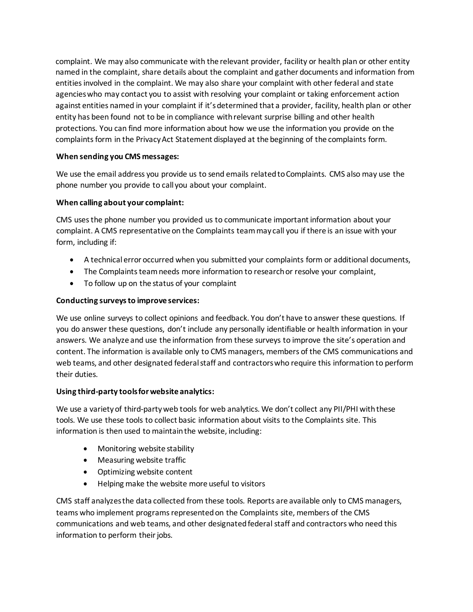complaint. We may also communicate with the relevant provider, facility or health plan or other entity named in the complaint, share details about the complaint and gather documents and information from entities involved in the complaint. We may also share your complaint with other federal and state agencies who may contact you to assist with resolving your complaint or taking enforcement action against entities named in your complaint if it's determined that a provider, facility, health plan or other entity has been found not to be in compliance with relevant surprise billing and other health protections. You can find more information about how we use the information you provide on the complaints form in the Privacy Act Statement displayed at the beginning of the complaints form.

### **When sending you CMS messages:**

We use the email address you provide us to send emails related to Complaints. CMS also may use the phone number you provide to call you about your complaint.

### **When calling about your complaint:**

CMS uses the phone number you provided us to communicate important information about your complaint. A CMS representative on the Complaints teammay call you if there is an issue with your form, including if:

- A technical error occurred when you submitted your complaints form or additional documents,
- The Complaints team needs more information to research or resolve your complaint,
- To follow up on the status of your complaint

### **Conducting surveysto improve services:**

We use online surveys to collect opinions and feedback. You don't have to answer these questions. If you do answer these questions, don't include any personally identifiable or health information in your answers. We analyze and use the information from these surveys to improve the site's operation and content. The information is available only to CMS managers, members of the CMS communications and web teams, and other designated federal staff and contractors who require this information to perform their duties.

#### **Using third-party toolsforwebsite analytics:**

We use a varietyof third-partyweb tools for web analytics. We don't collect any PII/PHI withthese tools. We use these tools to collect basic information about visits to the Complaints site. This information is then used to maintainthe website, including:

- Monitoring website stability
- Measuring website traffic
- Optimizing website content
- Helping make the website more useful to visitors

CMS staff analyzes the data collected from these tools. Reports are available only to CMS managers, teams who implement programs represented on the Complaints site, members of the CMS communications and web teams, and other designated federal staff and contractors who need this information to perform their jobs.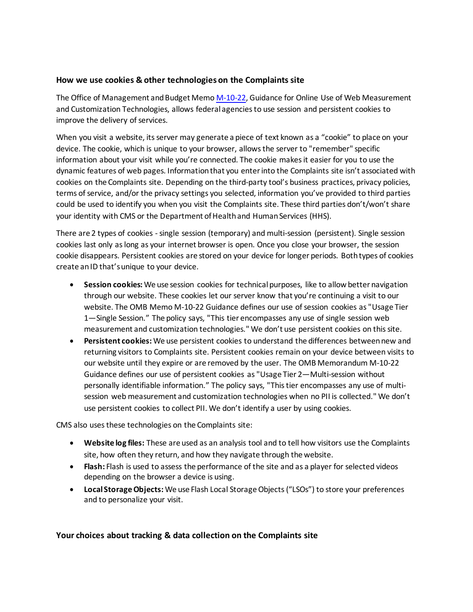#### **How we use cookies & other technologieson the Complaints site**

The Office of Management and Budget Memo [M-10-22,](https://digital.gov/resources/m-10-22-guidance-for-online-use-of-web-measurement-and-customization-technologies/) Guidance for Online Use of Web Measurement and Customization Technologies, allows federal agencies to use session and persistent cookies to improve the delivery of services.

When you visit a website, its server may generate a piece of text known as a "cookie" to place on your device. The cookie, which is unique to your browser, allows the server to "remember" specific information about your visit while you're connected. The cookie makes it easier for you to use the dynamic features of web pages. Informationthat you enterinto the Complaints site isn't associated with cookies on the Complaints site. Depending on the third-party tool's business practices, privacy policies, terms of service, and/or the privacy settings you selected, information you've provided to third parties could be used to identify you when you visit the Complaints site. These third parties don't/won't share your identity with CMS or the Department of Health and Human Services (HHS).

There are 2 types of cookies - single session (temporary) and multi-session (persistent). Single session cookies last only as long as your internet browser is open. Once you close your browser, the session cookie disappears. Persistent cookies are stored on your device for longer periods. Bothtypes of cookies create anID that'sunique to your device.

- **Session cookies:** We use session cookies for technicalpurposes, like to allow better navigation through our website. These cookies let our server know that you're continuing a visit to our website. The OMB Memo M-10-22 Guidance defines our use of session cookies as "Usage Tier 1—Single Session." The policy says, "This tier encompasses any use of single session web measurement and customization technologies." We don't use persistent cookies on thissite.
- **Persistent cookies:** We use persistent cookies to understand the differences between new and returning visitors to Complaints site. Persistent cookies remain on your device between visits to our website until they expire or are removed by the user. The OMB Memorandum M-10-22 Guidance defines our use of persistent cookies as "Usage Tier 2—Multi-session without personally identifiable information." The policy says, "This tier encompasses any use of multisession web measurement and customization technologies when no PII is collected." We don't use persistent cookies to collect PII. We don't identify a user by using cookies.

CMS also uses these technologies on the Complaints site:

- **Website log files:** These are used as an analysis tool and to tell how visitors use the Complaints site, how often they return, and how they navigate through the website.
- **Flash:** Flash is used to assess the performance of the site and as a player for selected videos depending on the browser a device is using.
- Local Storage Objects: We use Flash Local Storage Objects ("LSOs") to store your preferences and to personalize your visit.

# **Your choices about tracking & data collection on the Complaints site**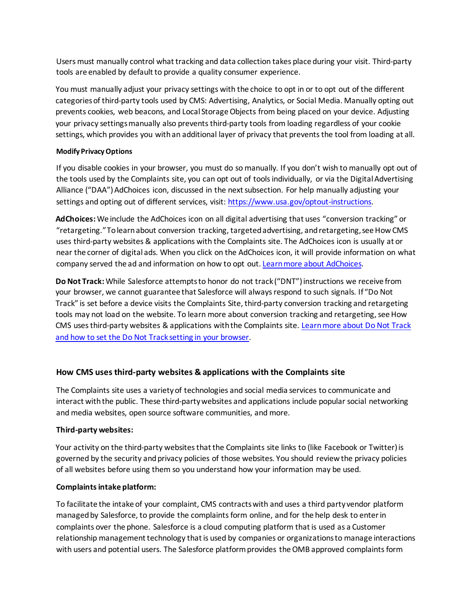Users must manually control what tracking and data collection takes place during your visit. Third-party tools are enabled by default to provide a quality consumer experience.

You must manually adjust your privacy settings with the choice to opt in or to opt out of the different categories of third-party tools used by CMS: Advertising, Analytics, or Social Media. Manually opting out prevents cookies, web beacons, and Local Storage Objects from being placed on your device. Adjusting your privacy settings manually also prevents third-party tools from loading regardless of your cookie settings, which provides you with an additional layer of privacy that prevents the tool from loading at all.

#### **Modify PrivacyOptions**

If you disable cookies in your browser, you must do so manually. If you don't wish to manually opt out of the tools used by the Complaints site, you can opt out of tools individually, or via the Digital Advertising Alliance ("DAA") AdChoices icon, discussed in the next subsection. For help manually adjusting your settings and opting out of different services, visit: [https://www.usa.gov/optout-instructions.](https://www.usa.gov/optout-instructions)

**AdChoices:** We include the AdChoices icon on all digital advertising that uses "conversion tracking" or "retargeting." To learn about conversion tracking, targeted advertising, and retargeting, see How CMS uses third-party websites & applications with the Complaints site. The AdChoices icon is usually at or near the corner of digital ads. When you click on the AdChoices icon, it will provide information on what company served the ad and information on how to opt out. Learn more [about AdChoices.](http://www.youradchoices.com/)

**Do Not Track:** While Salesforce attempts to honor do not track ("DNT") instructions we receive from your browser, we cannot guarantee that Salesforce will always respond to such signals. If "Do Not Track" is set before a device visits the Complaints Site, third-party conversion tracking and retargeting tools may not load on the website. To learn more about conversion tracking and retargeting, see How CMS uses third-party websites & applications with the Complaints site. [Learn more about Do Not Track](https://www.eff.org/issues/do-not-track) and how to set the Do [Not Track setting in](https://www.eff.org/issues/do-not-track) your browser.

# **How CMS uses third-party websites & applications with the Complaints site**

The Complaints site uses a variety of technologies and social media services to communicate and interact with the public. These third-party websites and applications include popular social networking and media websites, open source software communities, and more.

# **Third-party websites:**

Your activity on the third-party websites that the Complaints site links to (like Facebook or Twitter) is governed by the security andprivacy policies of those websites. You should reviewthe privacy policies of all websites before using them so you understand how your information may be used.

# **Complaintsintake platform:**

To facilitate the intake of your complaint, CMS contracts with and uses a third party vendor platform managed by Salesforce, to provide the complaints form online, and for the help desk to enter in complaints over the phone. Salesforce is a cloud computing platform that is used as a Customer relationship management technology that is used by companies or organizations to manage interactions with users and potential users. The Salesforce platform provides the OMB approved complaints form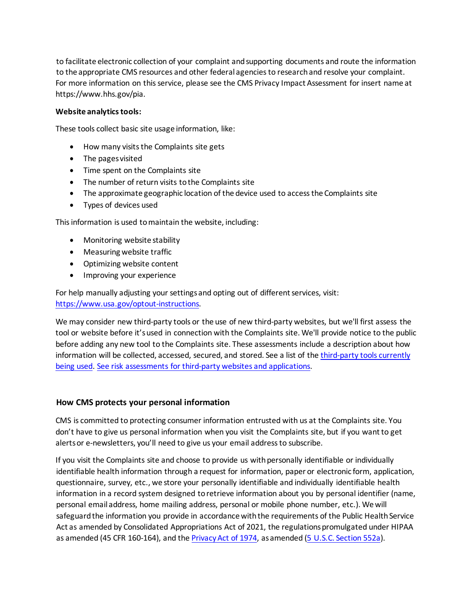to facilitate electronic collection of your complaint andsupporting documents and route the information to the appropriate CMS resources and other federal agenciesto researchand resolve your complaint. For more information on this service, please see the CMS Privacy Impact Assessment for insert name at https:/[/www.hhs.gov/pia.](http://www.hhs.gov/pia)

#### **Website analyticstools:**

These tools collect basic site usage information, like:

- How many visits the Complaints site gets
- The pagesvisited
- Time spent on the Complaints site
- The number of return visits tothe Complaints site
- The approximate geographic location of the device used to access the Complaints site
- Types of devices used

This information is used to maintain the website, including:

- Monitoring website stability
- Measuring website traffic
- Optimizing website content
- Improving your experience

For help manually adjusting your settings and opting out of different services, visit: [https://www.usa.gov/optout-instructions.](https://www.usa.gov/optout-instructions)

We may consider new third-party tools or the use of new third-party websites, but we'll first assess the tool or website before it's used in connection with the Complaints site. We'll provide notice to the public before adding any new tool to the Complaints site. These assessments include a description about how information will be collected, accessed, secured, and stored. See a list of the [third-party tools currently](https://www.cms.gov/privacy/third-party-privacy-policies) [being](https://www.cms.gov/privacy/third-party-privacy-policies) used. See risk assessments for third-party websites and [applications.](https://www.hhs.gov/pia/index.html)

# **How CMS protects your personal information**

CMS is committed to protecting consumer information entrusted with us at the Complaints site. You don't have to give us personal information when you visit the Complaints site, but if you want to get alertsor e-newsletters, you'll need to give us your email address to subscribe.

If you visit the Complaints site and choose to provide us with personally identifiable or individually identifiable health information through a request for information, paper or electronic form, application, questionnaire, survey, etc., we store your personally identifiable and individually identifiable health information in a record system designed to retrieve information about you by personal identifier (name, personal email address, home mailing address, personal or mobile phone number, etc.). We will safeguard the information you provide in accordance with the requirements of the Public Health Service Act as amended by Consolidated Appropriations Act of 2021, the regulations promulgated under HIPAA as amended (45 CFR 160-164), and the Privacy Act of 1974, as amended (5 U.S.C. [Section](https://www.gpo.gov/fdsys/granule/USCODE-2010-title5/USCODE-2010-title5-partI-chap5-subchapII-sec552a/content-detail.html) 552a).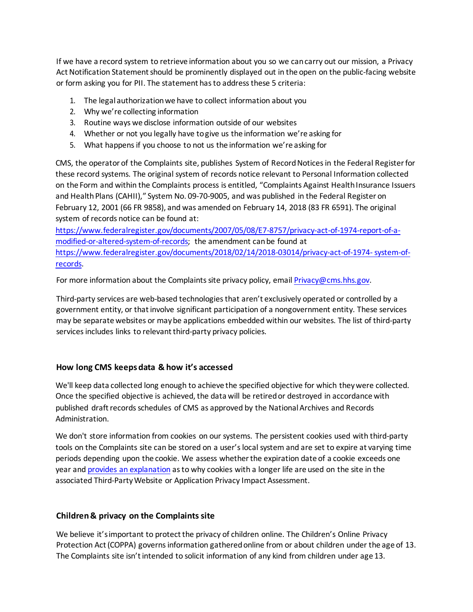If we have a record system to retrieve information about you so we can carry out our mission, a Privacy Act Notification Statement should be prominently displayed out in the open on the public-facing website or form asking you for PII. The statement hasto addressthese 5 criteria:

- 1. The legal authorizationwe have to collect information about you
- 2. Why we're collecting information
- 3. Routine ways we disclose information outside of our websites
- 4. Whether or not you legally have togive us the information we're asking for
- 5. What happensif you choose to not us the information we're asking for

CMS, the operator of the Complaints site, publishes System of Record Notices in the Federal Register for these record systems. The original system of records notice relevant to Personal Information collected on the Form and within the Complaints process is entitled, "Complaints Against Health Insurance Issuers and Health Plans (CAHII)," System No. 09-70-9005, and was published in the Federal Register on February 12, 2001 (66 FR 9858), and was amended on February 14, 2018 (83 FR 6591). The original system of records notice can be found at:

[https://www.federalregister.gov/documents/2007/05/08/E7-8757/privacy-act-of-1974-report-of-a](https://www.federalregister.gov/documents/2007/05/08/E7-8757/privacy-act-of-1974-report-of-a-modified-or-altered-system-of-records)[modified-or-altered-system-of-records;](https://www.federalregister.gov/documents/2007/05/08/E7-8757/privacy-act-of-1974-report-of-a-modified-or-altered-system-of-records) the amendment can be found at [https://www.federalregister.gov/documents/2018/02/14/2018-03014/privacy-act-of-1974-system-of](https://www.federalregister.gov/documents/2018/02/14/2018-03014/privacy-act-of-1974-system-of-records)[records.](https://www.federalregister.gov/documents/2018/02/14/2018-03014/privacy-act-of-1974-system-of-records)

For more information about the Complaints site privacy policy, email  $Privacy@cms.hhs.gov$ .

Third-party services are web-based technologies that aren't exclusively operated or controlled by a government entity, or that involve significant participation of a nongovernment entity. These services may be separate websites or maybe applications embedded within our websites. The list of third-party services includes links to relevant third-party privacy policies.

#### **How long CMS keeps data & how it's accessed**

We'll keep data collected long enough to achieve the specified objective for which theywere collected. Once the specified objective is achieved, the data will be retired or destroyed in accordance with published draft records schedules of CMS as approved by the National Archives and Records Administration.

We don't store information from cookies on our systems. The persistent cookies used with third-party tools on the Complaints site can be stored on a user's local system and are set to expire at varying time periods depending upon the cookie. We assess whether the expiration date of a cookie exceeds one year an[d provides an explanation](https://www.hhs.gov/pia/index.html) as to why cookies with a longer life are used on the site in the associated Third-PartyWebsite or Application Privacy Impact Assessment.

# **Children& privacy on the Complaints site**

We believe it's important to protect the privacy of children online. The Children's Online Privacy Protection Act(COPPA) governsinformation gatheredonline from or about children under the age of 13. The Complaints site isn't intended to solicit information of any kind from children under age 13.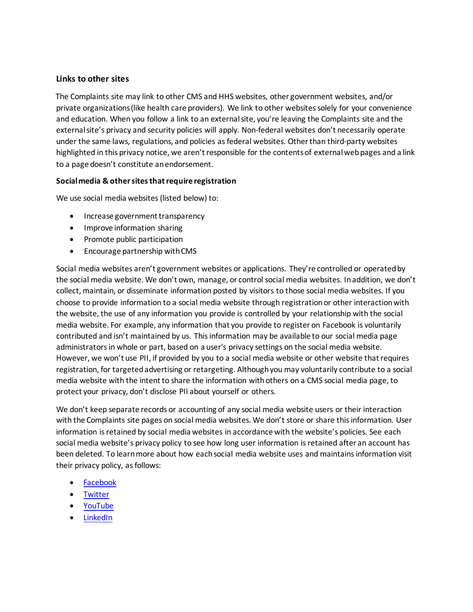### **Links to other sites**

The Complaints site may link to other CMS and HHS websites, other government websites, and/or private organizations (like health care providers). We link to other websites solely for your convenience and education. When you follow a link to an external site, you're leaving the Complaints site and the external site's privacy and security policies will apply. Non-federal websites don't necessarily operate under the same laws, regulations, and policies as federal websites. Other than third-party websites highlighted in this privacy notice, we aren't responsible for the contents of external web pages and a link to a page doesn't constitute anendorsement.

#### **Socialmedia & othersitesthatrequire registration**

We use social media websites (listed below) to:

- Increase government transparency
- Improve information sharing
- Promote public participation
- Encourage partnership withCMS

Social media websites aren't government websites or applications. They're controlled or operated by the social media website. We don't own, manage, or control social media websites. Inaddition, we don't collect, maintain, or disseminate information posted by visitors to those social media websites. If you choose to provide information to a social media website through registration or other interaction with the website, the use of any information you provide is controlled by your relationship with the social media website. For example, any information that you provide to register on Facebook is voluntarily contributed and isn't maintained by us. This information may be available to our social media page administrators in whole or part, based on a user's privacy settings on the social media website. However, we won't use PII, if provided by you to a social media website or other website that requires registration, for targeted advertising or retargeting. Although you may voluntarily contribute to a social media website with the intent to share the information with others on a CMS social media page, to protect your privacy, don't disclose PII about yourself or others.

We don't keep separate records or accounting of any social media website users or their interaction with the Complaints site pages on social media websites. We don't store or share this information. User information is retained by social media websites in accordance with the website's policies. See each social media website's privacy policy to see how long user information is retained after an account has been deleted. To learn more about how each social media website uses and maintains information visit their privacy policy, as follows:

- [Facebook](https://www.facebook.com/policies)
- [Twitter](https://twitter.com/en/privacy)
- [YouTube](https://www.youtube.com/intl/en_be/howyoutubeworks/our-commitments/protecting-user-data/)
- [LinkedIn](https://www.linkedin.com/legal/privacy-policy)